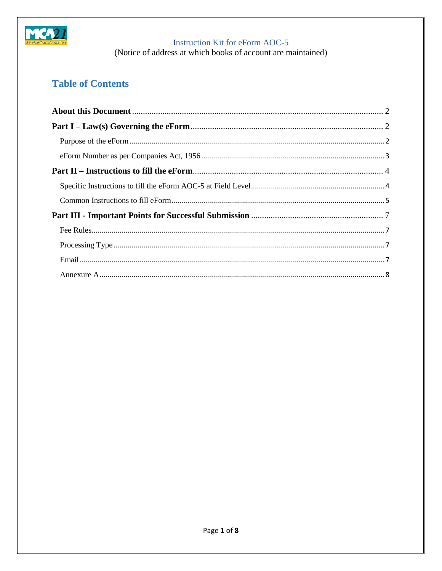

(Notice of address at which books of account are maintained)

# **Table of Contents**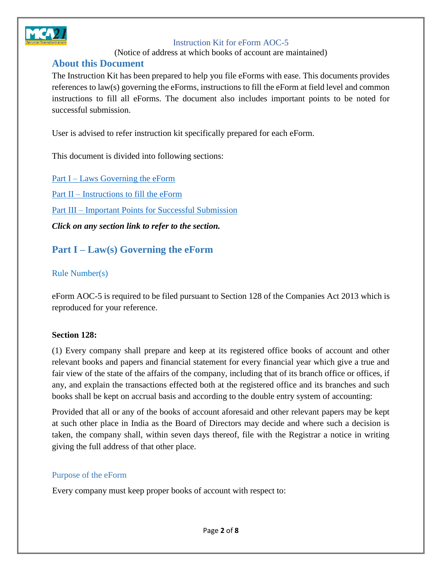

(Notice of address at which books of account are maintained)

### <span id="page-1-0"></span>**About this Document**

The Instruction Kit has been prepared to help you file eForms with ease. This documents provides references to law(s) governing the eForms, instructions to fill the eForm at field level and common instructions to fill all eForms. The document also includes important points to be noted for successful submission.

User is advised to refer instruction kit specifically prepared for each eForm.

This document is divided into following sections:

Part I – Laws [Governing the eForm](#page-1-1) Part II – [Instructions to fill](#page-2-0) the eForm Part III – [Important Points for Successful Submission](#page-6-0) *Click on any section link to refer to the section.*

## <span id="page-1-1"></span>**Part I – Law(s) Governing the eForm**

### Rule Number(s)

eForm AOC-5 is required to be filed pursuant to Section 128 of the Companies Act 2013 which is reproduced for your reference.

### **Section 128:**

(1) Every company shall prepare and keep at its registered office books of account and other relevant books and papers and financial statement for every financial year which give a true and fair view of the state of the affairs of the company, including that of its branch office or offices, if any, and explain the transactions effected both at the registered office and its branches and such books shall be kept on accrual basis and according to the double entry system of accounting:

Provided that all or any of the books of account aforesaid and other relevant papers may be kept at such other place in India as the Board of Directors may decide and where such a decision is taken, the company shall, within seven days thereof, file with the Registrar a notice in writing giving the full address of that other place.

#### <span id="page-1-2"></span>Purpose of the eForm

Every company must keep proper books of account with respect to: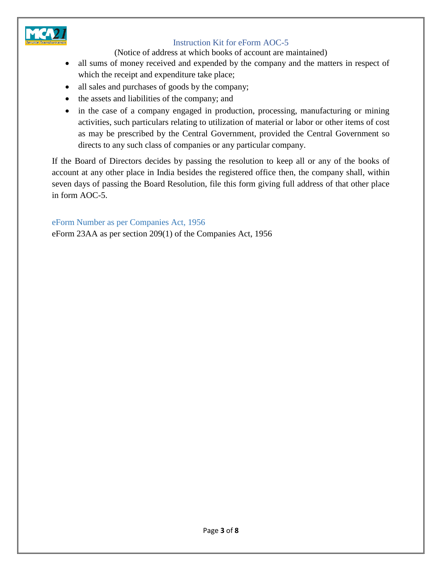

(Notice of address at which books of account are maintained)

- all sums of money received and expended by the company and the matters in respect of which the receipt and expenditure take place;
- all sales and purchases of goods by the company;
- the assets and liabilities of the company; and
- in the case of a company engaged in production, processing, manufacturing or mining activities, such particulars relating to utilization of material or labor or other items of cost as may be prescribed by the Central Government, provided the Central Government so directs to any such class of companies or any particular company.

If the Board of Directors decides by passing the resolution to keep all or any of the books of account at any other place in India besides the registered office then, the company shall, within seven days of passing the Board Resolution, file this form giving full address of that other place in form AOC-5.

### <span id="page-2-0"></span>eForm Number as per Companies Act, 1956

eForm 23AA as per section 209(1) of the Companies Act, 1956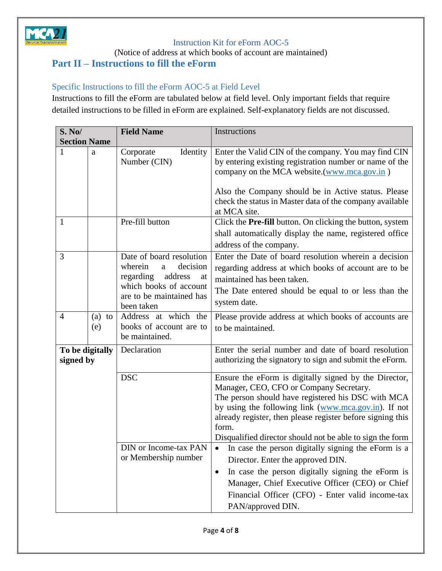

(Notice of address at which books of account are maintained)

## <span id="page-3-0"></span>**Part II – Instructions to fill the eForm**

### <span id="page-3-1"></span>Specific Instructions to fill the eForm AOC-5 at Field Level

Instructions to fill the eForm are tabulated below at field level. Only important fields that require detailed instructions to be filled in eForm are explained. Self-explanatory fields are not discussed.

| <b>S. No/</b>                |                  | <b>Field Name</b>                                                                                                                                      | Instructions                                                                                                                                                                                                                                                                                                                                                                                                                                                                                          |  |
|------------------------------|------------------|--------------------------------------------------------------------------------------------------------------------------------------------------------|-------------------------------------------------------------------------------------------------------------------------------------------------------------------------------------------------------------------------------------------------------------------------------------------------------------------------------------------------------------------------------------------------------------------------------------------------------------------------------------------------------|--|
| <b>Section Name</b>          |                  |                                                                                                                                                        |                                                                                                                                                                                                                                                                                                                                                                                                                                                                                                       |  |
| 1                            | a                | Identity<br>Corporate<br>Number (CIN)                                                                                                                  | Enter the Valid CIN of the company. You may find CIN<br>by entering existing registration number or name of the<br>company on the MCA website.(www.mca.gov.in)<br>Also the Company should be in Active status. Please<br>check the status in Master data of the company available<br>at MCA site.                                                                                                                                                                                                     |  |
| 1                            |                  | Pre-fill button                                                                                                                                        | Click the Pre-fill button. On clicking the button, system<br>shall automatically display the name, registered office<br>address of the company.                                                                                                                                                                                                                                                                                                                                                       |  |
| 3                            |                  | Date of board resolution<br>wherein<br>decision<br>a<br>regarding<br>address<br>at<br>which books of account<br>are to be maintained has<br>been taken | Enter the Date of board resolution wherein a decision<br>regarding address at which books of account are to be<br>maintained has been taken.<br>The Date entered should be equal to or less than the<br>system date.                                                                                                                                                                                                                                                                                  |  |
| $\overline{4}$               | (a)<br>to<br>(e) | Address at which the<br>books of account are to<br>be maintained.                                                                                      | Please provide address at which books of accounts are<br>to be maintained.                                                                                                                                                                                                                                                                                                                                                                                                                            |  |
| To be digitally<br>signed by |                  | Declaration                                                                                                                                            | Enter the serial number and date of board resolution<br>authorizing the signatory to sign and submit the eForm.                                                                                                                                                                                                                                                                                                                                                                                       |  |
|                              |                  | <b>DSC</b><br>DIN or Income-tax PAN<br>or Membership number                                                                                            | Ensure the eForm is digitally signed by the Director,<br>Manager, CEO, CFO or Company Secretary.<br>The person should have registered his DSC with MCA<br>by using the following link (www.mca.gov.in). If not<br>already register, then please register before signing this<br>form.<br>Disqualified director should not be able to sign the form<br>• In case the person digitally signing the eForm is a<br>Director. Enter the approved DIN.<br>In case the person digitally signing the eForm is |  |
|                              |                  |                                                                                                                                                        | Manager, Chief Executive Officer (CEO) or Chief<br>Financial Officer (CFO) - Enter valid income-tax<br>PAN/approved DIN.                                                                                                                                                                                                                                                                                                                                                                              |  |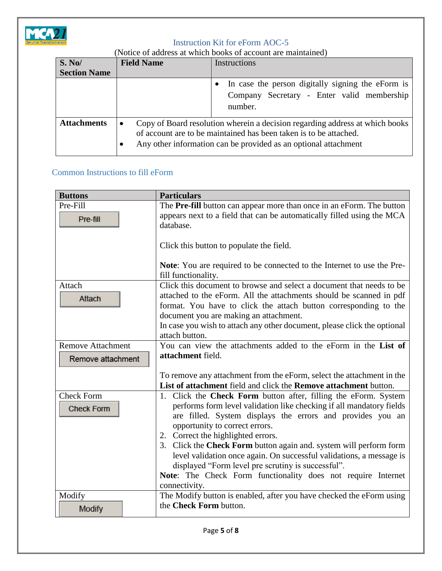

| (Notice of address at which books of account are maintained) |  |  |
|--------------------------------------------------------------|--|--|
|--------------------------------------------------------------|--|--|

| S. No/              | <b>Field Name</b> | <b>Instructions</b>                                                                                                                                                                                                  |  |  |
|---------------------|-------------------|----------------------------------------------------------------------------------------------------------------------------------------------------------------------------------------------------------------------|--|--|
| <b>Section Name</b> |                   |                                                                                                                                                                                                                      |  |  |
|                     |                   | In case the person digitally signing the eForm is<br>Company Secretary - Enter valid membership<br>number.                                                                                                           |  |  |
| <b>Attachments</b>  | $\bullet$         | Copy of Board resolution wherein a decision regarding address at which books<br>of account are to be maintained has been taken is to be attached.<br>Any other information can be provided as an optional attachment |  |  |

### <span id="page-4-0"></span>Common Instructions to fill eForm

| <b>Buttons</b>                         | <b>Particulars</b>                                                                                                                                                                                                                                                                                                                                                                                                                                                                                                                                                 |
|----------------------------------------|--------------------------------------------------------------------------------------------------------------------------------------------------------------------------------------------------------------------------------------------------------------------------------------------------------------------------------------------------------------------------------------------------------------------------------------------------------------------------------------------------------------------------------------------------------------------|
| Pre-Fill<br>Pre-fill                   | The Pre-fill button can appear more than once in an eForm. The button<br>appears next to a field that can be automatically filled using the MCA<br>database.                                                                                                                                                                                                                                                                                                                                                                                                       |
|                                        | Click this button to populate the field.                                                                                                                                                                                                                                                                                                                                                                                                                                                                                                                           |
|                                        | <b>Note:</b> You are required to be connected to the Internet to use the Pre-<br>fill functionality.                                                                                                                                                                                                                                                                                                                                                                                                                                                               |
| Attach<br>Attach                       | Click this document to browse and select a document that needs to be<br>attached to the eForm. All the attachments should be scanned in pdf<br>format. You have to click the attach button corresponding to the<br>document you are making an attachment.<br>In case you wish to attach any other document, please click the optional<br>attach button.                                                                                                                                                                                                            |
| <b>Remove Attachment</b>               | You can view the attachments added to the eForm in the List of                                                                                                                                                                                                                                                                                                                                                                                                                                                                                                     |
| Remove attachment                      | attachment field.                                                                                                                                                                                                                                                                                                                                                                                                                                                                                                                                                  |
|                                        | To remove any attachment from the eForm, select the attachment in the<br>List of attachment field and click the Remove attachment button.                                                                                                                                                                                                                                                                                                                                                                                                                          |
| <b>Check Form</b><br><b>Check Form</b> | 1. Click the Check Form button after, filling the eForm. System<br>performs form level validation like checking if all mandatory fields<br>are filled. System displays the errors and provides you an<br>opportunity to correct errors.<br>2. Correct the highlighted errors.<br>3. Click the Check Form button again and. system will perform form<br>level validation once again. On successful validations, a message is<br>displayed "Form level pre scrutiny is successful".<br>Note: The Check Form functionality does not require Internet<br>connectivity. |
| Modify<br>Modify                       | The Modify button is enabled, after you have checked the eForm using<br>the Check Form button.                                                                                                                                                                                                                                                                                                                                                                                                                                                                     |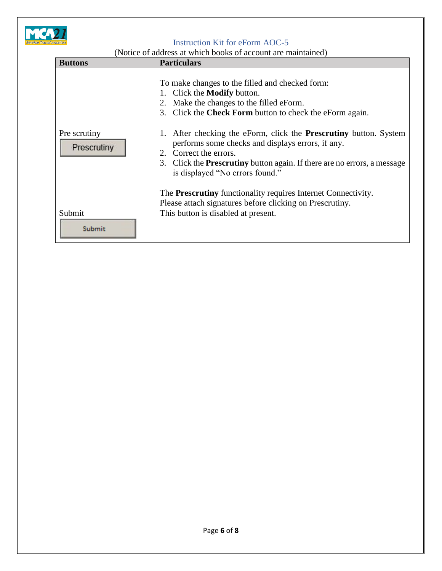

(Notice of address at which books of account are maintained)

| <b>Buttons</b>              | <b>Particulars</b>                                                                                                                                                                                                                                                                                                                                                                                                      |
|-----------------------------|-------------------------------------------------------------------------------------------------------------------------------------------------------------------------------------------------------------------------------------------------------------------------------------------------------------------------------------------------------------------------------------------------------------------------|
|                             | To make changes to the filled and checked form:<br>Click the <b>Modify</b> button.<br>1.<br>Make the changes to the filled eForm.<br>2.<br>Click the Check Form button to check the eForm again.<br>3 <sub>1</sub>                                                                                                                                                                                                      |
| Pre scrutiny<br>Prescrutiny | After checking the eForm, click the <b>Prescrutiny</b> button. System<br>1.<br>performs some checks and displays errors, if any.<br>Correct the errors.<br>2.<br>3. Click the <b>Prescrutiny</b> button again. If there are no errors, a message<br>is displayed "No errors found."<br>The <b>Prescrutiny</b> functionality requires Internet Connectivity.<br>Please attach signatures before clicking on Prescrutiny. |
| Submit<br>Submit            | This button is disabled at present.                                                                                                                                                                                                                                                                                                                                                                                     |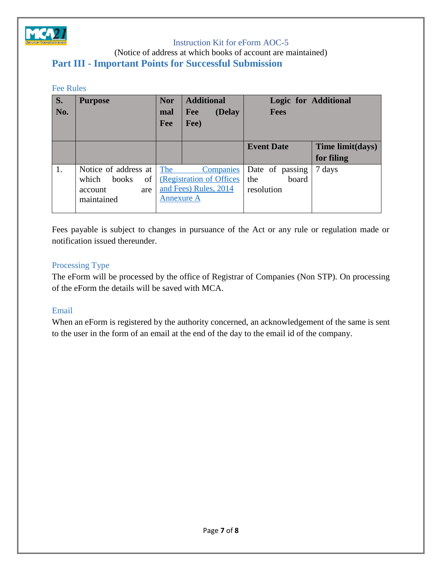

(Notice of address at which books of account are maintained)

### <span id="page-6-0"></span>**Part III - Important Points for Successful Submission**

#### <span id="page-6-1"></span>Fee Rules

| $\overline{\mathbf{S}}$ . | <b>Purpose</b>       | <b>Nor</b>        | <b>Additional</b>        | <b>Logic for Additional</b> |                  |
|---------------------------|----------------------|-------------------|--------------------------|-----------------------------|------------------|
| No.                       |                      | mal               | (Delay<br>Fee            | <b>Fees</b>                 |                  |
|                           |                      | Fee               | Fee)                     |                             |                  |
|                           |                      |                   |                          |                             |                  |
|                           |                      |                   |                          | <b>Event Date</b>           | Time limit(days) |
|                           |                      |                   |                          |                             | for filing       |
| 1.                        | Notice of address at | The               | Companies                | Date of passing             | 7 days           |
|                           | of<br>which<br>books |                   | (Registration of Offices | board<br>the                |                  |
|                           | account<br>are       |                   | and Fees) Rules, 2014    | resolution                  |                  |
|                           | maintained           | <b>Annexure A</b> |                          |                             |                  |
|                           |                      |                   |                          |                             |                  |

Fees payable is subject to changes in pursuance of the Act or any rule or regulation made or notification issued thereunder.

### <span id="page-6-2"></span>Processing Type

The eForm will be processed by the office of Registrar of Companies (Non STP). On processing of the eForm the details will be saved with MCA.

### <span id="page-6-3"></span>Email

When an eForm is registered by the authority concerned, an acknowledgement of the same is sent to the user in the form of an email at the end of the day to the email id of the company.